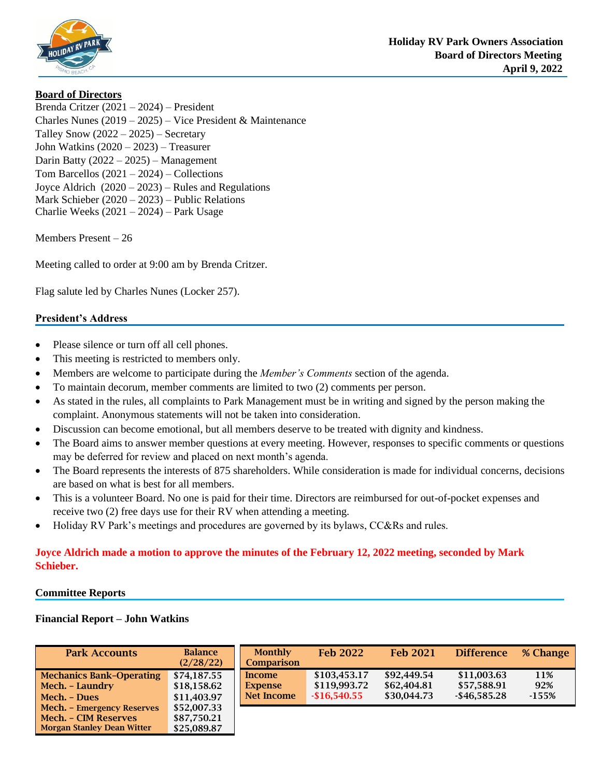

### **Board of Directors**

Brenda Critzer (2021 – 2024) – President Charles Nunes (2019 – 2025) – Vice President & Maintenance Talley Snow  $(2022 – 2025) – Secretary$ John Watkins (2020 – 2023) – Treasurer Darin Batty (2022 – 2025) – Management Tom Barcellos (2021 – 2024) – Collections Joyce Aldrich (2020 – 2023) – Rules and Regulations Mark Schieber (2020 – 2023) – Public Relations Charlie Weeks (2021 – 2024) – Park Usage

Members Present – 26

Meeting called to order at 9:00 am by Brenda Critzer.

Flag salute led by Charles Nunes (Locker 257).

### **President's Address**

- Please silence or turn off all cell phones.
- This meeting is restricted to members only.
- Members are welcome to participate during the *Member's Comments* section of the agenda.
- To maintain decorum, member comments are limited to two (2) comments per person.
- As stated in the rules, all complaints to Park Management must be in writing and signed by the person making the complaint. Anonymous statements will not be taken into consideration.
- Discussion can become emotional, but all members deserve to be treated with dignity and kindness.
- The Board aims to answer member questions at every meeting. However, responses to specific comments or questions may be deferred for review and placed on next month's agenda.
- The Board represents the interests of 875 shareholders. While consideration is made for individual concerns, decisions are based on what is best for all members.
- This is a volunteer Board. No one is paid for their time. Directors are reimbursed for out-of-pocket expenses and receive two (2) free days use for their RV when attending a meeting.
- Holiday RV Park's meetings and procedures are governed by its bylaws, CC&Rs and rules.

## **Joyce Aldrich made a motion to approve the minutes of the February 12, 2022 meeting, seconded by Mark Schieber.**

#### **Committee Reports**

#### **Financial Report – John Watkins**

| <b>Park Accounts</b>                                                                                  | <b>Balance</b><br>(2/28/22)               | <b>Monthly</b><br><b>Comparison</b>    | <b>Feb 2022</b>                               | <b>Feb 2021</b>                           | <b>Difference</b>                             | % Change              |
|-------------------------------------------------------------------------------------------------------|-------------------------------------------|----------------------------------------|-----------------------------------------------|-------------------------------------------|-----------------------------------------------|-----------------------|
| <b>Mechanics Bank-Operating</b><br>Mech. - Laundry<br>Mech. - Dues                                    | \$74,187.55<br>\$18,158.62<br>\$11,403.97 | Income<br><b>Expense</b><br>Net Income | \$103,453.17<br>\$119,993.72<br>$-$16,540.55$ | \$92,449.54<br>\$62,404.81<br>\$30,044.73 | \$11,003.63<br>\$57,588.91<br>$-$ \$46,585.28 | 11%<br>92%<br>$-155%$ |
| <b>Mech.</b> – Emergency Reserves<br><b>Mech. - CIM Reserves</b><br><b>Morgan Stanley Dean Witter</b> | \$52,007.33<br>\$87,750.21<br>\$25,089.87 |                                        |                                               |                                           |                                               |                       |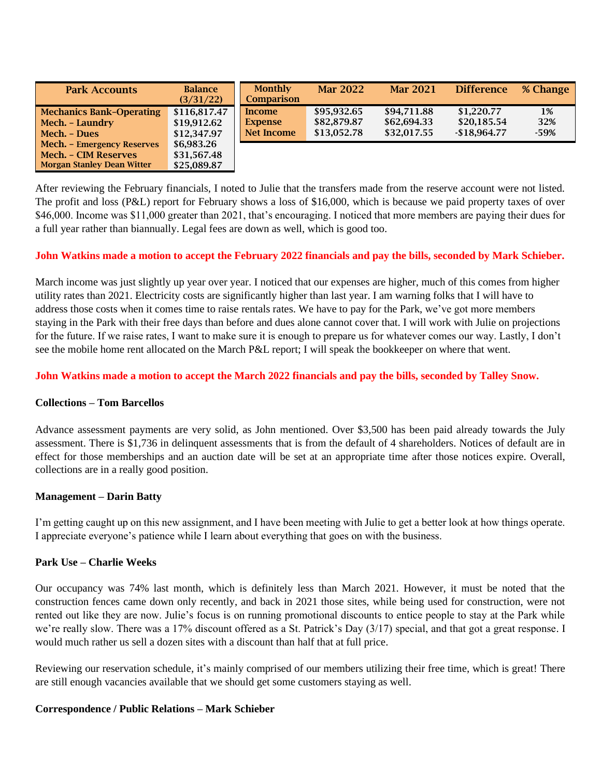| <b>Park Accounts</b>                                                                    | <b>Balance</b><br>(3/31/22)                | <b>Monthly</b><br><b>Comparison</b>    | <b>Mar 2022</b>                           | <b>Mar 2021</b>                           | <b>Difference</b>                          | % Change            |
|-----------------------------------------------------------------------------------------|--------------------------------------------|----------------------------------------|-------------------------------------------|-------------------------------------------|--------------------------------------------|---------------------|
| <b>Mechanics Bank-Operating</b><br>Mech. - Laundry<br>Mech. - Dues                      | \$116,817.47<br>\$19,912.62<br>\$12,347.97 | Income<br><b>Expense</b><br>Net Income | \$95.932.65<br>\$82,879.87<br>\$13,052.78 | \$94,711.88<br>\$62,694.33<br>\$32,017.55 | \$1,220,77<br>\$20,185.54<br>$-$18,964.77$ | 1%<br>32%<br>$-59%$ |
| Mech. - Emergency Reserves<br>Mech. - CIM Reserves<br><b>Morgan Stanley Dean Witter</b> | \$6,983.26<br>\$31,567.48<br>\$25,089.87   |                                        |                                           |                                           |                                            |                     |

After reviewing the February financials, I noted to Julie that the transfers made from the reserve account were not listed. The profit and loss (P&L) report for February shows a loss of \$16,000, which is because we paid property taxes of over \$46,000. Income was \$11,000 greater than 2021, that's encouraging. I noticed that more members are paying their dues for a full year rather than biannually. Legal fees are down as well, which is good too.

### **John Watkins made a motion to accept the February 2022 financials and pay the bills, seconded by Mark Schieber.**

March income was just slightly up year over year. I noticed that our expenses are higher, much of this comes from higher utility rates than 2021. Electricity costs are significantly higher than last year. I am warning folks that I will have to address those costs when it comes time to raise rentals rates. We have to pay for the Park, we've got more members staying in the Park with their free days than before and dues alone cannot cover that. I will work with Julie on projections for the future. If we raise rates, I want to make sure it is enough to prepare us for whatever comes our way. Lastly, I don't see the mobile home rent allocated on the March P&L report; I will speak the bookkeeper on where that went.

### **John Watkins made a motion to accept the March 2022 financials and pay the bills, seconded by Talley Snow.**

### **Collections – Tom Barcellos**

Advance assessment payments are very solid, as John mentioned. Over \$3,500 has been paid already towards the July assessment. There is \$1,736 in delinquent assessments that is from the default of 4 shareholders. Notices of default are in effect for those memberships and an auction date will be set at an appropriate time after those notices expire. Overall, collections are in a really good position.

### **Management – Darin Batty**

I'm getting caught up on this new assignment, and I have been meeting with Julie to get a better look at how things operate. I appreciate everyone's patience while I learn about everything that goes on with the business.

### **Park Use – Charlie Weeks**

Our occupancy was 74% last month, which is definitely less than March 2021. However, it must be noted that the construction fences came down only recently, and back in 2021 those sites, while being used for construction, were not rented out like they are now. Julie's focus is on running promotional discounts to entice people to stay at the Park while we're really slow. There was a 17% discount offered as a St. Patrick's Day (3/17) special, and that got a great response. I would much rather us sell a dozen sites with a discount than half that at full price.

Reviewing our reservation schedule, it's mainly comprised of our members utilizing their free time, which is great! There are still enough vacancies available that we should get some customers staying as well.

### **Correspondence / Public Relations – Mark Schieber**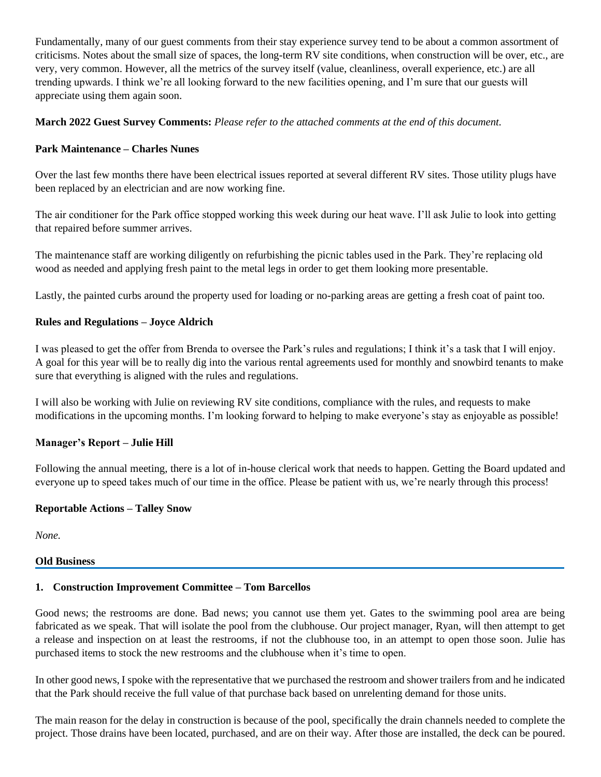Fundamentally, many of our guest comments from their stay experience survey tend to be about a common assortment of criticisms. Notes about the small size of spaces, the long-term RV site conditions, when construction will be over, etc., are very, very common. However, all the metrics of the survey itself (value, cleanliness, overall experience, etc.) are all trending upwards. I think we're all looking forward to the new facilities opening, and I'm sure that our guests will appreciate using them again soon.

## **March 2022 Guest Survey Comments:** *Please refer to the attached comments at the end of this document.*

# **Park Maintenance – Charles Nunes**

Over the last few months there have been electrical issues reported at several different RV sites. Those utility plugs have been replaced by an electrician and are now working fine.

The air conditioner for the Park office stopped working this week during our heat wave. I'll ask Julie to look into getting that repaired before summer arrives.

The maintenance staff are working diligently on refurbishing the picnic tables used in the Park. They're replacing old wood as needed and applying fresh paint to the metal legs in order to get them looking more presentable.

Lastly, the painted curbs around the property used for loading or no-parking areas are getting a fresh coat of paint too.

# **Rules and Regulations – Joyce Aldrich**

I was pleased to get the offer from Brenda to oversee the Park's rules and regulations; I think it's a task that I will enjoy. A goal for this year will be to really dig into the various rental agreements used for monthly and snowbird tenants to make sure that everything is aligned with the rules and regulations.

I will also be working with Julie on reviewing RV site conditions, compliance with the rules, and requests to make modifications in the upcoming months. I'm looking forward to helping to make everyone's stay as enjoyable as possible!

## **Manager's Report – Julie Hill**

Following the annual meeting, there is a lot of in-house clerical work that needs to happen. Getting the Board updated and everyone up to speed takes much of our time in the office. Please be patient with us, we're nearly through this process!

## **Reportable Actions – Talley Snow**

*None.*

### **Old Business**

### **1. Construction Improvement Committee – Tom Barcellos**

Good news; the restrooms are done. Bad news; you cannot use them yet. Gates to the swimming pool area are being fabricated as we speak. That will isolate the pool from the clubhouse. Our project manager, Ryan, will then attempt to get a release and inspection on at least the restrooms, if not the clubhouse too, in an attempt to open those soon. Julie has purchased items to stock the new restrooms and the clubhouse when it's time to open.

In other good news, I spoke with the representative that we purchased the restroom and shower trailers from and he indicated that the Park should receive the full value of that purchase back based on unrelenting demand for those units.

The main reason for the delay in construction is because of the pool, specifically the drain channels needed to complete the project. Those drains have been located, purchased, and are on their way. After those are installed, the deck can be poured.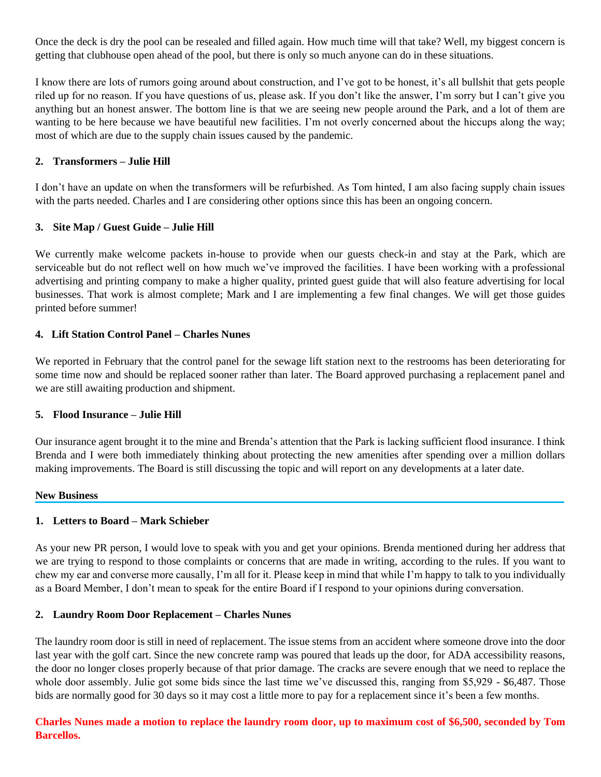Once the deck is dry the pool can be resealed and filled again. How much time will that take? Well, my biggest concern is getting that clubhouse open ahead of the pool, but there is only so much anyone can do in these situations.

I know there are lots of rumors going around about construction, and I've got to be honest, it's all bullshit that gets people riled up for no reason. If you have questions of us, please ask. If you don't like the answer, I'm sorry but I can't give you anything but an honest answer. The bottom line is that we are seeing new people around the Park, and a lot of them are wanting to be here because we have beautiful new facilities. I'm not overly concerned about the hiccups along the way; most of which are due to the supply chain issues caused by the pandemic.

### **2. Transformers – Julie Hill**

I don't have an update on when the transformers will be refurbished. As Tom hinted, I am also facing supply chain issues with the parts needed. Charles and I are considering other options since this has been an ongoing concern.

### **3. Site Map / Guest Guide – Julie Hill**

We currently make welcome packets in-house to provide when our guests check-in and stay at the Park, which are serviceable but do not reflect well on how much we've improved the facilities. I have been working with a professional advertising and printing company to make a higher quality, printed guest guide that will also feature advertising for local businesses. That work is almost complete; Mark and I are implementing a few final changes. We will get those guides printed before summer!

### **4. Lift Station Control Panel – Charles Nunes**

We reported in February that the control panel for the sewage lift station next to the restrooms has been deteriorating for some time now and should be replaced sooner rather than later. The Board approved purchasing a replacement panel and we are still awaiting production and shipment.

### **5. Flood Insurance – Julie Hill**

Our insurance agent brought it to the mine and Brenda's attention that the Park is lacking sufficient flood insurance. I think Brenda and I were both immediately thinking about protecting the new amenities after spending over a million dollars making improvements. The Board is still discussing the topic and will report on any developments at a later date.

#### **New Business**

### **1. Letters to Board – Mark Schieber**

As your new PR person, I would love to speak with you and get your opinions. Brenda mentioned during her address that we are trying to respond to those complaints or concerns that are made in writing, according to the rules. If you want to chew my ear and converse more causally, I'm all for it. Please keep in mind that while I'm happy to talk to you individually as a Board Member, I don't mean to speak for the entire Board if I respond to your opinions during conversation.

### **2. Laundry Room Door Replacement – Charles Nunes**

The laundry room door is still in need of replacement. The issue stems from an accident where someone drove into the door last year with the golf cart. Since the new concrete ramp was poured that leads up the door, for ADA accessibility reasons, the door no longer closes properly because of that prior damage. The cracks are severe enough that we need to replace the whole door assembly. Julie got some bids since the last time we've discussed this, ranging from \$5,929 - \$6,487. Those bids are normally good for 30 days so it may cost a little more to pay for a replacement since it's been a few months.

**Charles Nunes made a motion to replace the laundry room door, up to maximum cost of \$6,500, seconded by Tom Barcellos.**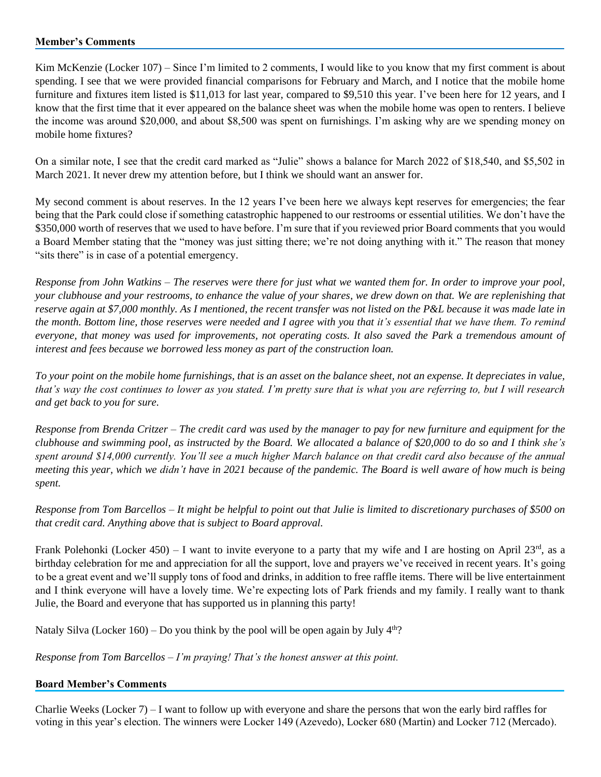### **Member's Comments**

Kim McKenzie (Locker 107) – Since I'm limited to 2 comments, I would like to you know that my first comment is about spending. I see that we were provided financial comparisons for February and March, and I notice that the mobile home furniture and fixtures item listed is \$11,013 for last year, compared to \$9,510 this year. I've been here for 12 years, and I know that the first time that it ever appeared on the balance sheet was when the mobile home was open to renters. I believe the income was around \$20,000, and about \$8,500 was spent on furnishings. I'm asking why are we spending money on mobile home fixtures?

On a similar note, I see that the credit card marked as "Julie" shows a balance for March 2022 of \$18,540, and \$5,502 in March 2021. It never drew my attention before, but I think we should want an answer for.

My second comment is about reserves. In the 12 years I've been here we always kept reserves for emergencies; the fear being that the Park could close if something catastrophic happened to our restrooms or essential utilities. We don't have the \$350,000 worth of reserves that we used to have before. I'm sure that if you reviewed prior Board comments that you would a Board Member stating that the "money was just sitting there; we're not doing anything with it." The reason that money "sits there" is in case of a potential emergency.

*Response from John Watkins – The reserves were there for just what we wanted them for. In order to improve your pool, your clubhouse and your restrooms, to enhance the value of your shares, we drew down on that. We are replenishing that reserve again at \$7,000 monthly. As I mentioned, the recent transfer was not listed on the P&L because it was made late in the month. Bottom line, those reserves were needed and I agree with you that it's essential that we have them. To remind everyone, that money was used for improvements, not operating costs. It also saved the Park a tremendous amount of interest and fees because we borrowed less money as part of the construction loan.* 

*To your point on the mobile home furnishings, that is an asset on the balance sheet, not an expense. It depreciates in value, that's way the cost continues to lower as you stated. I'm pretty sure that is what you are referring to, but I will research and get back to you for sure.*

*Response from Brenda Critzer – The credit card was used by the manager to pay for new furniture and equipment for the clubhouse and swimming pool, as instructed by the Board. We allocated a balance of \$20,000 to do so and I think she's spent around \$14,000 currently. You'll see a much higher March balance on that credit card also because of the annual meeting this year, which we didn't have in 2021 because of the pandemic. The Board is well aware of how much is being spent.*

*Response from Tom Barcellos – It might be helpful to point out that Julie is limited to discretionary purchases of \$500 on that credit card. Anything above that is subject to Board approval.*

Frank Polehonki (Locker 450) – I want to invite everyone to a party that my wife and I are hosting on April  $23<sup>rd</sup>$ , as a birthday celebration for me and appreciation for all the support, love and prayers we've received in recent years. It's going to be a great event and we'll supply tons of food and drinks, in addition to free raffle items. There will be live entertainment and I think everyone will have a lovely time. We're expecting lots of Park friends and my family. I really want to thank Julie, the Board and everyone that has supported us in planning this party!

Nataly Silva (Locker 160) – Do you think by the pool will be open again by July  $4<sup>th</sup>$ ?

*Response from Tom Barcellos – I'm praying! That's the honest answer at this point.*

### **Board Member's Comments**

Charlie Weeks (Locker 7) – I want to follow up with everyone and share the persons that won the early bird raffles for voting in this year's election. The winners were Locker 149 (Azevedo), Locker 680 (Martin) and Locker 712 (Mercado).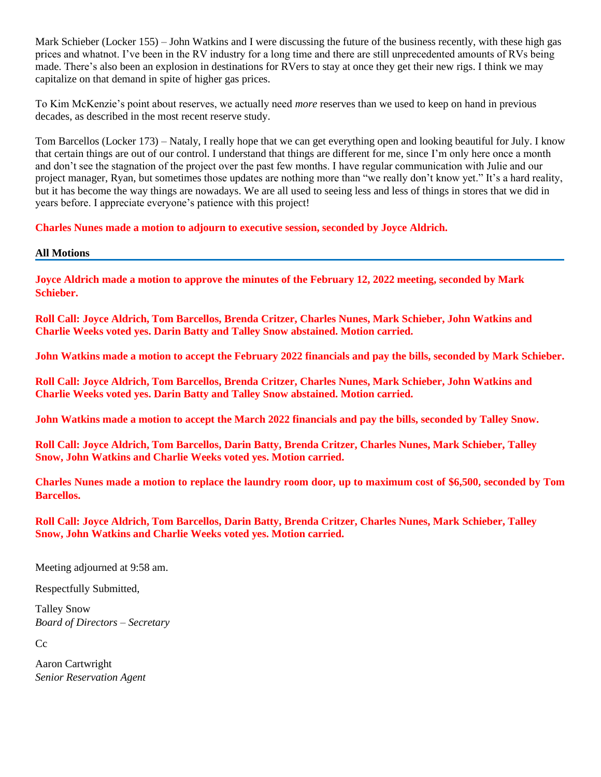Mark Schieber (Locker 155) – John Watkins and I were discussing the future of the business recently, with these high gas prices and whatnot. I've been in the RV industry for a long time and there are still unprecedented amounts of RVs being made. There's also been an explosion in destinations for RVers to stay at once they get their new rigs. I think we may capitalize on that demand in spite of higher gas prices.

To Kim McKenzie's point about reserves, we actually need *more* reserves than we used to keep on hand in previous decades, as described in the most recent reserve study.

Tom Barcellos (Locker 173) – Nataly, I really hope that we can get everything open and looking beautiful for July. I know that certain things are out of our control. I understand that things are different for me, since I'm only here once a month and don't see the stagnation of the project over the past few months. I have regular communication with Julie and our project manager, Ryan, but sometimes those updates are nothing more than "we really don't know yet." It's a hard reality, but it has become the way things are nowadays. We are all used to seeing less and less of things in stores that we did in years before. I appreciate everyone's patience with this project!

**Charles Nunes made a motion to adjourn to executive session, seconded by Joyce Aldrich.**

#### **All Motions**

**Joyce Aldrich made a motion to approve the minutes of the February 12, 2022 meeting, seconded by Mark Schieber.**

**Roll Call: Joyce Aldrich, Tom Barcellos, Brenda Critzer, Charles Nunes, Mark Schieber, John Watkins and Charlie Weeks voted yes. Darin Batty and Talley Snow abstained. Motion carried.**

**John Watkins made a motion to accept the February 2022 financials and pay the bills, seconded by Mark Schieber.**

**Roll Call: Joyce Aldrich, Tom Barcellos, Brenda Critzer, Charles Nunes, Mark Schieber, John Watkins and Charlie Weeks voted yes. Darin Batty and Talley Snow abstained. Motion carried.**

**John Watkins made a motion to accept the March 2022 financials and pay the bills, seconded by Talley Snow.**

**Roll Call: Joyce Aldrich, Tom Barcellos, Darin Batty, Brenda Critzer, Charles Nunes, Mark Schieber, Talley Snow, John Watkins and Charlie Weeks voted yes. Motion carried.**

**Charles Nunes made a motion to replace the laundry room door, up to maximum cost of \$6,500, seconded by Tom Barcellos.** 

**Roll Call: Joyce Aldrich, Tom Barcellos, Darin Batty, Brenda Critzer, Charles Nunes, Mark Schieber, Talley Snow, John Watkins and Charlie Weeks voted yes. Motion carried.**

Meeting adjourned at 9:58 am.

Respectfully Submitted,

Talley Snow *Board of Directors – Secretary*

Cc

Aaron Cartwright *Senior Reservation Agent*